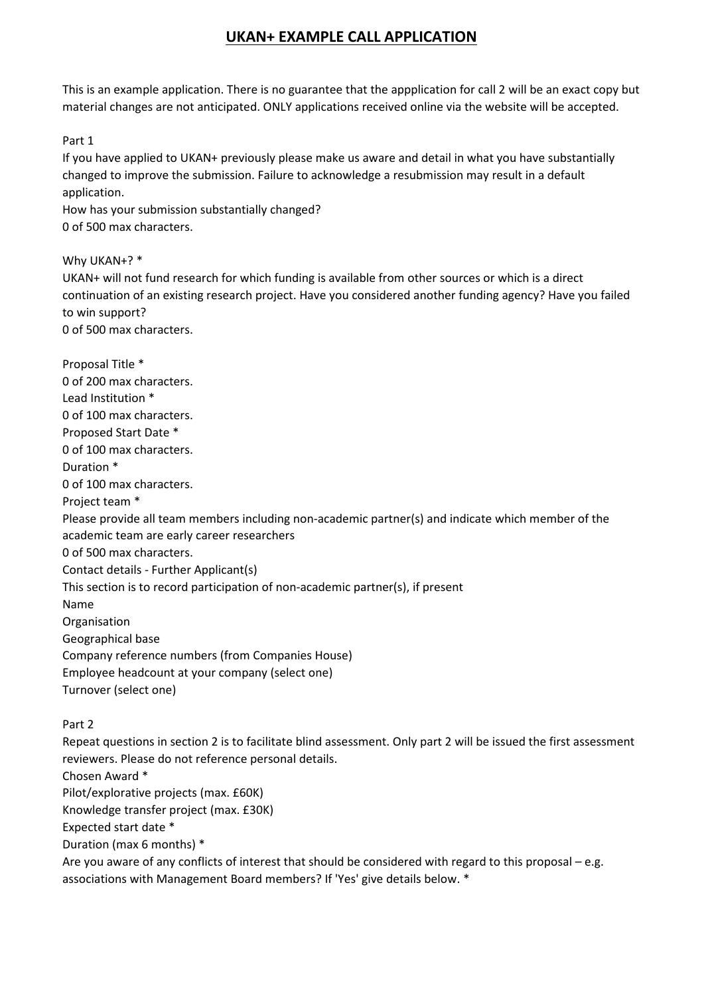This is an example application. There is no guarantee that the appplication for call 2 will be an exact copy but material changes are not anticipated. ONLY applications received online via the website will be accepted.

Part 1

If you have applied to UKAN+ previously please make us aware and detail in what you have substantially changed to improve the submission. Failure to acknowledge a resubmission may result in a default application.

How has your submission substantially changed? 0 of 500 max characters.

Why UKAN+? \*

UKAN+ will not fund research for which funding is available from other sources or which is a direct continuation of an existing research project. Have you considered another funding agency? Have you failed to win support?

0 of 500 max characters.

Proposal Title \* 0 of 200 max characters. Lead Institution \* 0 of 100 max characters. Proposed Start Date \* 0 of 100 max characters. Duration \* 0 of 100 max characters. Project team \* Please provide all team members including non-academic partner(s) and indicate which member of the academic team are early career researchers 0 of 500 max characters. Contact details - Further Applicant(s) This section is to record participation of non-academic partner(s), if present Name Organisation Geographical base Company reference numbers (from Companies House) Employee headcount at your company (select one) Turnover (select one) Part 2 Repeat questions in section 2 is to facilitate blind assessment. Only part 2 will be issued the first assessment reviewers. Please do not reference personal details. Chosen Award \* Pilot/explorative projects (max. £60K)

Knowledge transfer project (max. £30K)

Expected start date \*

Duration (max 6 months) \*

Are you aware of any conflicts of interest that should be considered with regard to this proposal – e.g. associations with Management Board members? If 'Yes' give details below. \*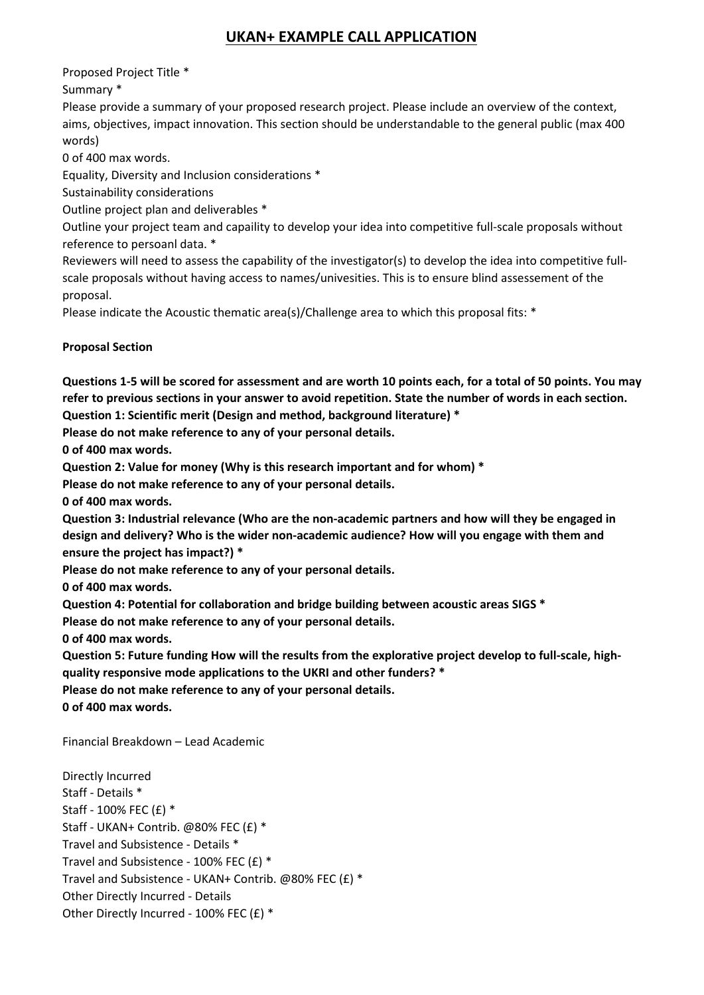Proposed Project Title \*

Summary \*

Please provide a summary of your proposed research project. Please include an overview of the context, aims, objectives, impact innovation. This section should be understandable to the general public (max 400 words)

0 of 400 max words.

Equality, Diversity and Inclusion considerations \*

Sustainability considerations

Outline project plan and deliverables \*

Outline your project team and capaility to develop your idea into competitive full-scale proposals without reference to persoanl data. \*

Reviewers will need to assess the capability of the investigator(s) to develop the idea into competitive fullscale proposals without having access to names/univesities. This is to ensure blind assessement of the proposal.

Please indicate the Acoustic thematic area(s)/Challenge area to which this proposal fits: \*

#### **Proposal Section**

**Questions 1-5 will be scored for assessment and are worth 10 points each, for a total of 50 points. You may refer to previous sections in your answer to avoid repetition. State the number of words in each section.**

**Question 1: Scientific merit (Design and method, background literature) \***

**Please do not make reference to any of your personal details.**

**0 of 400 max words.**

**Question 2: Value for money (Why is this research important and for whom) \***

**Please do not make reference to any of your personal details.**

**0 of 400 max words.**

**Question 3: Industrial relevance (Who are the non-academic partners and how will they be engaged in design and delivery? Who is the wider non-academic audience? How will you engage with them and ensure the project has impact?) \***

**Please do not make reference to any of your personal details.**

**0 of 400 max words.**

**Question 4: Potential for collaboration and bridge building between acoustic areas SIGS \***

**Please do not make reference to any of your personal details.**

**0 of 400 max words.**

**Question 5: Future funding How will the results from the explorative project develop to full-scale, highquality responsive mode applications to the UKRI and other funders? \***

**Please do not make reference to any of your personal details.**

**0 of 400 max words.**

Financial Breakdown – Lead Academic

Directly Incurred Staff - Details \* Staff - 100% FEC (£) \* Staff - UKAN+ Contrib. @80% FEC (£) \* Travel and Subsistence - Details \* Travel and Subsistence - 100% FEC (£) \* Travel and Subsistence - UKAN+ Contrib. @80% FEC (£) \* Other Directly Incurred - Details Other Directly Incurred - 100% FEC (£) \*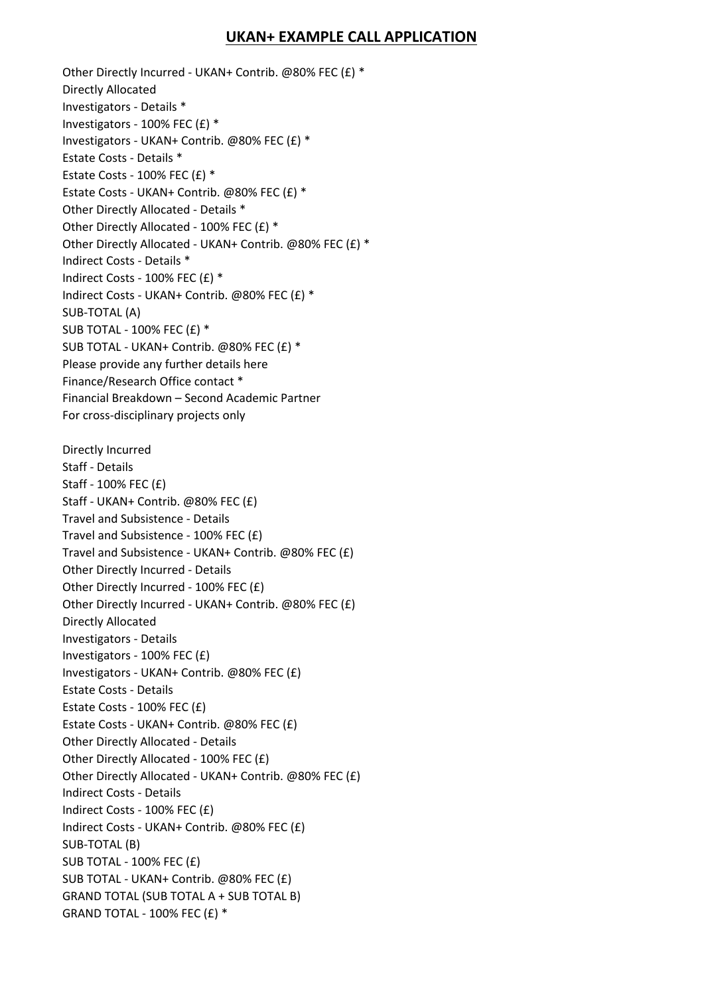Other Directly Incurred - UKAN+ Contrib. @80% FEC (£) \* Directly Allocated Investigators - Details \* Investigators - 100% FEC (£) \* Investigators - UKAN+ Contrib. @80% FEC (£) \* Estate Costs - Details \* Estate Costs - 100% FEC  $(E)$  \* Estate Costs - UKAN+ Contrib. @80% FEC (£) \* Other Directly Allocated - Details \* Other Directly Allocated - 100% FEC (£) \* Other Directly Allocated - UKAN+ Contrib. @80% FEC (£) \* Indirect Costs - Details \* Indirect Costs - 100% FEC (£) \* Indirect Costs - UKAN+ Contrib. @80% FEC (£) \* SUB-TOTAL (A) SUB TOTAL - 100% FEC (£) \* SUB TOTAL - UKAN+ Contrib. @80% FEC (£) \* Please provide any further details here Finance/Research Office contact \* Financial Breakdown – Second Academic Partner For cross-disciplinary projects only Directly Incurred Staff - Details Staff - 100% FEC (£) Staff - UKAN+ Contrib. @80% FEC (£) Travel and Subsistence - Details Travel and Subsistence - 100% FEC (£) Travel and Subsistence - UKAN+ Contrib. @80% FEC (£) Other Directly Incurred - Details Other Directly Incurred - 100% FEC (£) Other Directly Incurred - UKAN+ Contrib. @80% FEC (£) Directly Allocated Investigators - Details Investigators - 100% FEC (£) Investigators - UKAN+ Contrib. @80% FEC (£) Estate Costs - Details Estate Costs - 100% FEC (£) Estate Costs - UKAN+ Contrib. @80% FEC (£) Other Directly Allocated - Details Other Directly Allocated - 100% FEC (£) Other Directly Allocated - UKAN+ Contrib. @80% FEC (£) Indirect Costs - Details Indirect Costs - 100% FEC (£) Indirect Costs - UKAN+ Contrib. @80% FEC (£) SUB-TOTAL (B) SUB TOTAL - 100% FEC (£) SUB TOTAL - UKAN+ Contrib. @80% FEC (£) GRAND TOTAL (SUB TOTAL A + SUB TOTAL B) GRAND TOTAL - 100% FEC (£) \*